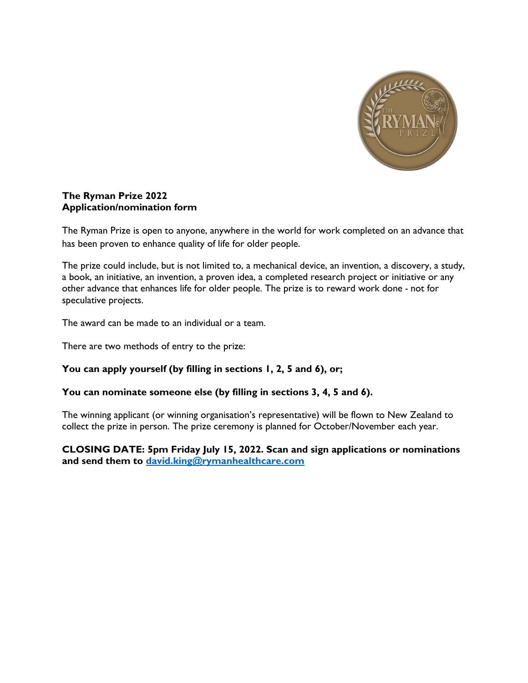

#### **The Ryman Prize 2022 Application/nomination form**

The Ryman Prize is open to anyone, anywhere in the world for work completed on an advance that has been proven to enhance quality of life for older people.

The prize could include, but is not limited to, a mechanical device, an invention, a discovery, a study, a book, an initiative, an invention, a proven idea, a completed research project or initiative or any other advance that enhances life for older people. The prize is to reward work done *-* not for speculative projects.

The award can be made to an individual or a team.

There are two methods of entry to the prize:

## **You can apply yourself (by filling in sections 1, 2, 5 and 6), or;**

## **You can nominate someone else (by filling in sections 3, 4, 5 and 6).**

The winning applicant (or winning organisation's representative) will be flown to New Zealand to collect the prize in person. The prize ceremony is planned for October/November each year.

**CLOSING DATE: 5pm Friday July 15, 2022. Scan and sign applications or nominations and send them to [david.king@rymanhealthcare.com](mailto:david.king@rymanhealthcare.com)**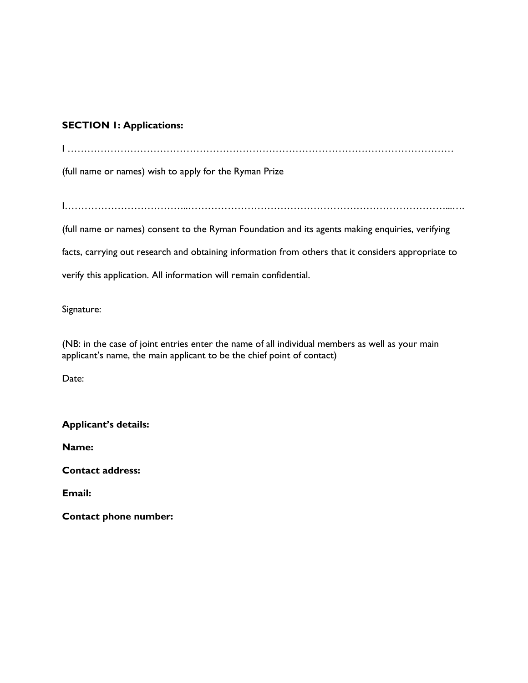## **SECTION 1: Applications:**

I ………………………………………………………………………………………………………

(full name or names) wish to apply for the Ryman Prize

I………………………………..……………………………………………………………………...….

(full name or names) consent to the Ryman Foundation and its agents making enquiries, verifying

facts, carrying out research and obtaining information from others that it considers appropriate to

verify this application. All information will remain confidential.

Signature:

(NB: in the case of joint entries enter the name of all individual members as well as your main applicant's name, the main applicant to be the chief point of contact)

Date:

**Applicant's details:**

**Name:**

**Contact address:**

**Email:**

**Contact phone number:**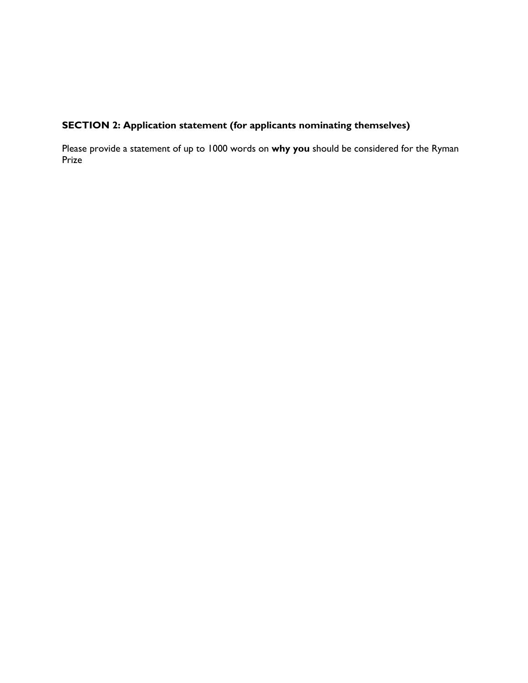# **SECTION 2: Application statement (for applicants nominating themselves)**

Please provide a statement of up to 1000 words on **why you** should be considered for the Ryman Prize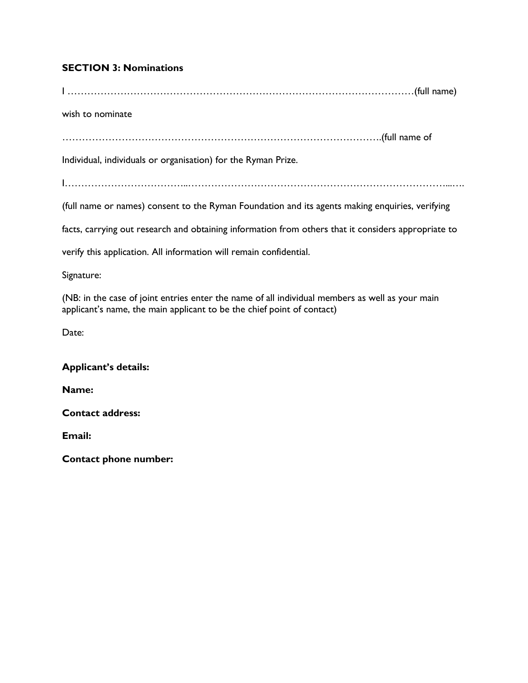## **SECTION 3: Nominations**

wish to nominate …………………………………………………………………………………….(full name of Individual, individuals or organisation) for the Ryman Prize. I………………………………..……………………………………………………………………...…. (full name or names) consent to the Ryman Foundation and its agents making enquiries, verifying facts, carrying out research and obtaining information from others that it considers appropriate to verify this application. All information will remain confidential.

I ……………………………………………………………………………………………(full name)

Signature:

(NB: in the case of joint entries enter the name of all individual members as well as your main applicant's name, the main applicant to be the chief point of contact)

Date:

## **Applicant's details:**

**Name:**

**Contact address:**

**Email:**

**Contact phone number:**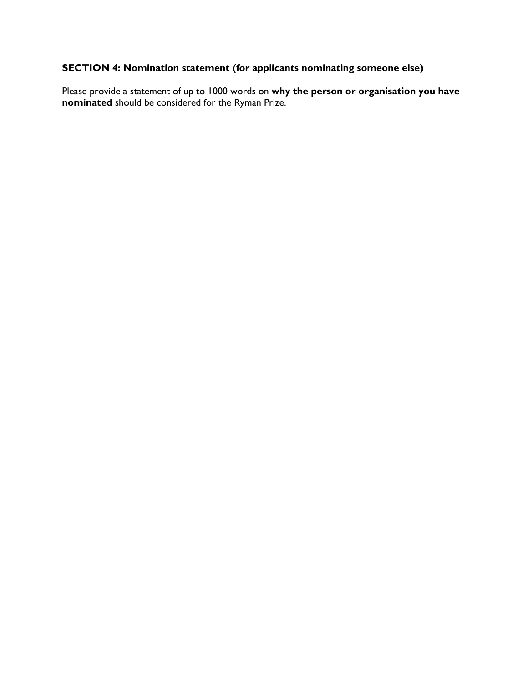## **SECTION 4: Nomination statement (for applicants nominating someone else)**

Please provide a statement of up to 1000 words on **why the person or organisation you have nominated** should be considered for the Ryman Prize.